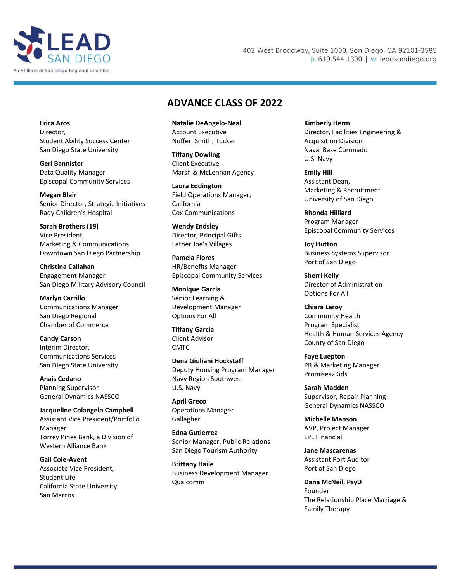

## 402 West Broadway, Suite 1000, San Diego, CA 92101-3585 p: 619.544.1300 | w: leadsandiego.org

## **ADVANCE CLASS OF 2022**

**Erica Aros** Director, Student Ability Success Center San Diego State University

**Geri Bannister** Data Quality Manager Episcopal Community Services

**Megan Blair** Senior Director, Strategic Initiatives Rady Children's Hospital

**Sarah Brothers (19)** Vice President, Marketing & Communications Downtown San Diego Partnership

**Christina Callahan** Engagement Manager San Diego Military Advisory Council

**Marlyn Carrillo** Communications Manager San Diego Regional Chamber of Commerce

**Candy Carson** Interim Director, Communications Services San Diego State University

**Anais Cedano** Planning Supervisor General Dynamics NASSCO

**Jacqueline Colangelo Campbell** Assistant Vice President/Portfolio Manager Torrey Pines Bank, a Division of Western Alliance Bank

**Gail Cole-Avent** Associate Vice President, Student Life California State University San Marcos

**Natalie DeAngelo-Neal** Account Executive Nuffer, Smith, Tucker

**Tiffany Dowling** Client Executive Marsh & McLennan Agency

**Laura Eddington** Field Operations Manager, California Cox Communications

**Wendy Endsley** Director, Principal Gifts Father Joe's Villages

**Pamela Flores** HR/Benefits Manager Episcopal Community Services

**Monique Garcia** Senior Learning & Development Manager Options For All

**Tiffany Garcia** Client Advisor **CMTC** 

**Dena Giuliani Hockstaff** Deputy Housing Program Manager Navy Region Southwest U.S. Navy

**April Greco** Operations Manager Gallagher

**Edna Gutierrez** Senior Manager, Public Relations San Diego Tourism Authority

**Brittany Haile** Business Development Manager Qualcomm

**Kimberly Herm** Director, Facilities Engineering & Acquisition Division Naval Base Coronado U.S. Navy

**Emily Hill** Assistant Dean, Marketing & Recruitment University of San Diego

**Rhonda Hilliard** Program Manager Episcopal Community Services

**Joy Hutton** Business Systems Supervisor Port of San Diego

**Sherri Kelly** Director of Administration Options For All

**Chiara Leroy** Community Health Program Specialist Health & Human Services Agency County of San Diego

**Faye Luepton** PR & Marketing Manager Promises2Kids

**Sarah Madden** Supervisor, Repair Planning General Dynamics NASSCO

**Michelle Manson** AVP, Project Manager LPL Financial

**Jane Mascarenas** Assistant Port Auditor Port of San Diego

**Dana McNeil, PsyD** Founder The Relationship Place Marriage & Family Therapy